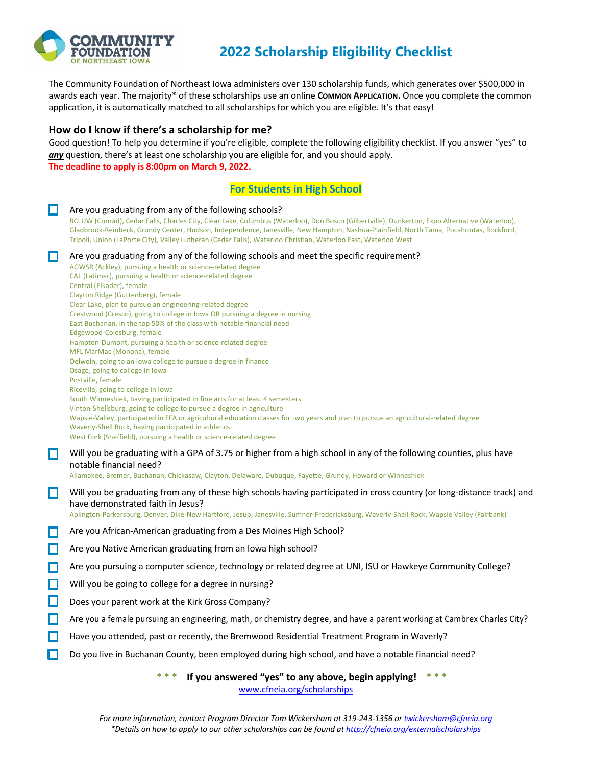

## **2022 Scholarship Eligibility Checklist**

The Community Foundation of Northeast Iowa administers over 130 scholarship funds, which generates over \$500,000 in awards each year. The majority<sup>\*</sup> of these scholarships use an online **COMMON APPLICATION.** Once you complete the common application, it is automatically matched to all scholarships for which you are eligible. It's that easy!

## **How do I know if there's a scholarship for me?**

Good question! To help you determine if you're eligible, complete the following eligibility checklist. If you answer "yes" to any question, there's at least one scholarship you are eligible for, and you should apply. **The deadline to apply is 8:00pm on March 9, 2022.**

## **For Students in High School**

|        | <u>i vi students in riigii sunvu</u>                                                                                                                                                                                                                                                                                                                                                                                                                                                                                                                                                                                                                                                                                                                                                                                                                                                                                                                                                                                                                                                                                                                                                                                                      |
|--------|-------------------------------------------------------------------------------------------------------------------------------------------------------------------------------------------------------------------------------------------------------------------------------------------------------------------------------------------------------------------------------------------------------------------------------------------------------------------------------------------------------------------------------------------------------------------------------------------------------------------------------------------------------------------------------------------------------------------------------------------------------------------------------------------------------------------------------------------------------------------------------------------------------------------------------------------------------------------------------------------------------------------------------------------------------------------------------------------------------------------------------------------------------------------------------------------------------------------------------------------|
| $\Box$ | Are you graduating from any of the following schools?<br>BCLUW (Conrad), Cedar Falls, Charles City, Clear Lake, Columbus (Waterloo), Don Bosco (Gilbertville), Dunkerton, Expo Alternative (Waterloo),<br>Gladbrook-Reinbeck, Grundy Center, Hudson, Independence, Janesville, New Hampton, Nashua-Plainfield, North Tama, Pocahontas, Rockford,<br>Tripoli, Union (LaPorte City), Valley Lutheran (Cedar Falls), Waterloo Christian, Waterloo East, Waterloo West                                                                                                                                                                                                                                                                                                                                                                                                                                                                                                                                                                                                                                                                                                                                                                        |
| О      | Are you graduating from any of the following schools and meet the specific requirement?<br>AGWSR (Ackley), pursuing a health or science-related degree<br>CAL (Latimer), pursuing a health or science-related degree<br>Central (Elkader), female<br>Clayton Ridge (Guttenberg), female<br>Clear Lake, plan to pursue an engineering-related degree<br>Crestwood (Cresco), going to college in Iowa OR pursuing a degree in nursing<br>East Buchanan, in the top 50% of the class with notable financial need<br>Edgewood-Colesburg, female<br>Hampton-Dumont, pursuing a health or science-related degree<br>MFL MarMac (Monona), female<br>Oelwein, going to an lowa college to pursue a degree in finance<br>Osage, going to college in lowa<br>Postville, female<br>Riceville, going to college in Iowa<br>South Winneshiek, having participated in fine arts for at least 4 semesters<br>Vinton-Shellsburg, going to college to pursue a degree in agriculture<br>Wapsie-Valley, participated in FFA or agricultural education classes for two years and plan to pursue an agricultural-related degree<br>Waverly-Shell Rock, having participated in athletics<br>West Fork (Sheffield), pursuing a health or science-related degree |
| □      | Will you be graduating with a GPA of 3.75 or higher from a high school in any of the following counties, plus have<br>notable financial need?<br>Allamakee, Bremer, Buchanan, Chickasaw, Clayton, Delaware, Dubuque, Fayette, Grundy, Howard or Winneshiek                                                                                                                                                                                                                                                                                                                                                                                                                                                                                                                                                                                                                                                                                                                                                                                                                                                                                                                                                                                |
| □      | Will you be graduating from any of these high schools having participated in cross country (or long-distance track) and<br>have demonstrated faith in Jesus?<br>Aplington-Parkersburg, Denver, Dike-New Hartford, Jesup, Janesville, Sumner-Fredericksburg, Waverly-Shell Rock, Wapsie Valley (Fairbank)                                                                                                                                                                                                                                                                                                                                                                                                                                                                                                                                                                                                                                                                                                                                                                                                                                                                                                                                  |
| □      | Are you African-American graduating from a Des Moines High School?                                                                                                                                                                                                                                                                                                                                                                                                                                                                                                                                                                                                                                                                                                                                                                                                                                                                                                                                                                                                                                                                                                                                                                        |
| $\Box$ | Are you Native American graduating from an Iowa high school?                                                                                                                                                                                                                                                                                                                                                                                                                                                                                                                                                                                                                                                                                                                                                                                                                                                                                                                                                                                                                                                                                                                                                                              |
| О      | Are you pursuing a computer science, technology or related degree at UNI, ISU or Hawkeye Community College?                                                                                                                                                                                                                                                                                                                                                                                                                                                                                                                                                                                                                                                                                                                                                                                                                                                                                                                                                                                                                                                                                                                               |
| $\Box$ | Will you be going to college for a degree in nursing?                                                                                                                                                                                                                                                                                                                                                                                                                                                                                                                                                                                                                                                                                                                                                                                                                                                                                                                                                                                                                                                                                                                                                                                     |
| $\Box$ | Does your parent work at the Kirk Gross Company?                                                                                                                                                                                                                                                                                                                                                                                                                                                                                                                                                                                                                                                                                                                                                                                                                                                                                                                                                                                                                                                                                                                                                                                          |
| О      | Are you a female pursuing an engineering, math, or chemistry degree, and have a parent working at Cambrex Charles City?                                                                                                                                                                                                                                                                                                                                                                                                                                                                                                                                                                                                                                                                                                                                                                                                                                                                                                                                                                                                                                                                                                                   |
| $\Box$ | Have you attended, past or recently, the Bremwood Residential Treatment Program in Waverly?                                                                                                                                                                                                                                                                                                                                                                                                                                                                                                                                                                                                                                                                                                                                                                                                                                                                                                                                                                                                                                                                                                                                               |
| О      | Do you live in Buchanan County, been employed during high school, and have a notable financial need?                                                                                                                                                                                                                                                                                                                                                                                                                                                                                                                                                                                                                                                                                                                                                                                                                                                                                                                                                                                                                                                                                                                                      |
|        | *** If you answered "yes" to any above, begin applying! $***$                                                                                                                                                                                                                                                                                                                                                                                                                                                                                                                                                                                                                                                                                                                                                                                                                                                                                                                                                                                                                                                                                                                                                                             |

www.cfneia.org/scholarships